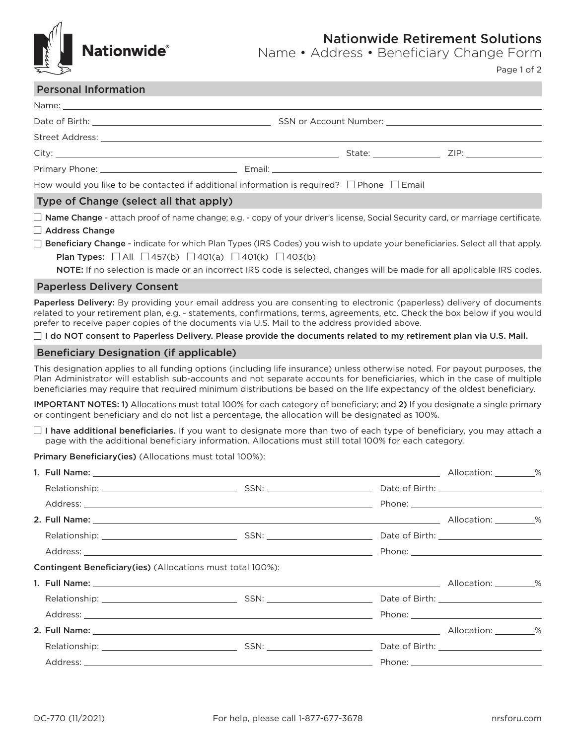

Nationwide Retirement Solutions

Name • Address • Beneficiary Change Form

Page 1 of 2

### Personal Information

| Primary Phone: 2008 2012 2022 2023 2024 2022 2022 2023 2024 2022 2023 2024 2022 2023 2024 2022 2023 2024 2022 |  |  |
|---------------------------------------------------------------------------------------------------------------|--|--|
| How would you like to be contacted if additional information is required? $\Box$ Phone $\Box$ Email           |  |  |
| $T_{1/100}$ of Change (coloct all that annly)                                                                 |  |  |

#### Type of Change (select all that apply)

 $\Box$  Name Change - attach proof of name change; e.g. - copy of your driver's license, Social Security card, or marriage certificate.  $\Box$  Address Change

 $\Box$  Beneficiary Change - indicate for which Plan Types (IRS Codes) you wish to update your beneficiaries. Select all that apply. **Plan Types:**  $\Box$  All  $\Box$  457(b)  $\Box$  401(a)  $\Box$  401(k)  $\Box$  403(b)

NOTE: If no selection is made or an incorrect IRS code is selected, changes will be made for all applicable IRS codes.

### Paperless Delivery Consent

Paperless Delivery: By providing your email address you are consenting to electronic (paperless) delivery of documents related to your retirement plan, e.g. - statements, confirmations, terms, agreements, etc. Check the box below if you would prefer to receive paper copies of the documents via U.S. Mail to the address provided above.

 $\Box$  I do NOT consent to Paperless Delivery. Please provide the documents related to my retirement plan via U.S. Mail.

### Beneficiary Designation (if applicable)

This designation applies to all funding options (including life insurance) unless otherwise noted. For payout purposes, the Plan Administrator will establish sub-accounts and not separate accounts for beneficiaries, which in the case of multiple beneficiaries may require that required minimum distributions be based on the life expectancy of the oldest beneficiary.

IMPORTANT NOTES: 1) Allocations must total 100% for each category of beneficiary; and 2) If you designate a single primary or contingent beneficiary and do not list a percentage, the allocation will be designated as 100%.

 $\Box$  I have additional beneficiaries. If you want to designate more than two of each type of beneficiary, you may attach a page with the additional beneficiary information. Allocations must still total 100% for each category.

Primary Beneficiary(ies) (Allocations must total 100%):

|                                                                   |  | Allocation: 8 |  |
|-------------------------------------------------------------------|--|---------------|--|
|                                                                   |  |               |  |
|                                                                   |  |               |  |
|                                                                   |  |               |  |
|                                                                   |  |               |  |
|                                                                   |  |               |  |
| <b>Contingent Beneficiary(ies)</b> (Allocations must total 100%): |  |               |  |
|                                                                   |  |               |  |
|                                                                   |  |               |  |
|                                                                   |  |               |  |
|                                                                   |  |               |  |
|                                                                   |  |               |  |
|                                                                   |  |               |  |
|                                                                   |  |               |  |